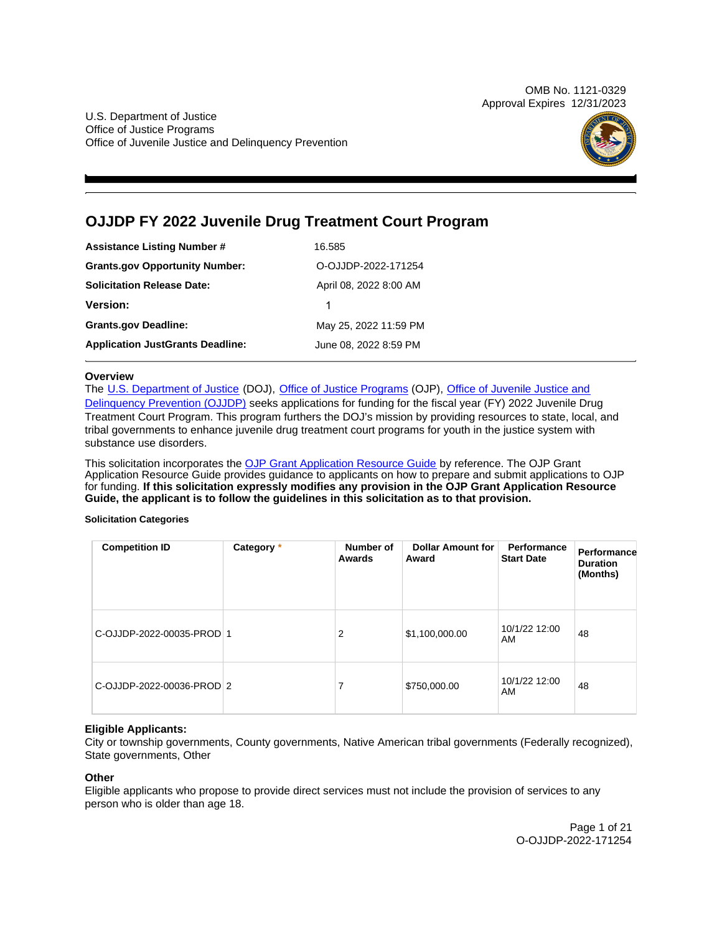OMB No. 1121-0329 Approval Expires 12/31/2023

U.S. Department of Justice Office of Justice Programs Office of Juvenile Justice and Delinquency Prevention



## **OJJDP FY 2022 Juvenile Drug Treatment Court Program**

| <b>Assistance Listing Number #</b>      | 16.585                 |
|-----------------------------------------|------------------------|
| <b>Grants.gov Opportunity Number:</b>   | O-OJJDP-2022-171254    |
| <b>Solicitation Release Date:</b>       | April 08, 2022 8:00 AM |
| <b>Version:</b>                         | 1                      |
| <b>Grants.gov Deadline:</b>             | May 25, 2022 11:59 PM  |
| <b>Application JustGrants Deadline:</b> | June 08, 2022 8:59 PM  |

## **Overview**

The [U.S. Department of Justice](https://www.usdoj.gov/) (DOJ), [Office of Justice Programs](https://www.ojp.gov/) (OJP), Office of Juvenile Justice and [Delinquency Prevention \(OJJDP\)](https://ojjdp.ojp.gov/) seeks applications for funding for the fiscal year (FY) 2022 Juvenile Drug Treatment Court Program. This program furthers the DOJ's mission by providing resources to state, local, and tribal governments to enhance juvenile drug treatment court programs for youth in the justice system with substance use disorders.

This solicitation incorporates the [OJP Grant Application Resource Guide](https://www.ojp.gov/funding/Apply/Resources/Grant-App-Resource-Guide.htm) by reference. The OJP Grant Application Resource Guide provides guidance to applicants on how to prepare and submit applications to OJP for funding. **If this solicitation expressly modifies any provision in the OJP Grant Application Resource Guide, the applicant is to follow the guidelines in this solicitation as to that provision.** 

## **Solicitation Categories**

| <b>Competition ID</b>     | Category * | Number of<br>Awards | <b>Dollar Amount for</b><br>Award | Performance<br><b>Start Date</b> | Performance<br><b>Duration</b><br>(Months) |
|---------------------------|------------|---------------------|-----------------------------------|----------------------------------|--------------------------------------------|
| C-OJJDP-2022-00035-PROD 1 |            | 2                   | \$1,100,000.00                    | 10/1/22 12:00<br>AM              | 48                                         |
| C-OJJDP-2022-00036-PROD 2 |            | 7                   | \$750,000.00                      | 10/1/22 12:00<br>AM              | 48                                         |

## **Eligible Applicants:**

City or township governments, County governments, Native American tribal governments (Federally recognized), State governments, Other

## **Other**

Eligible applicants who propose to provide direct services must not include the provision of services to any person who is older than age 18.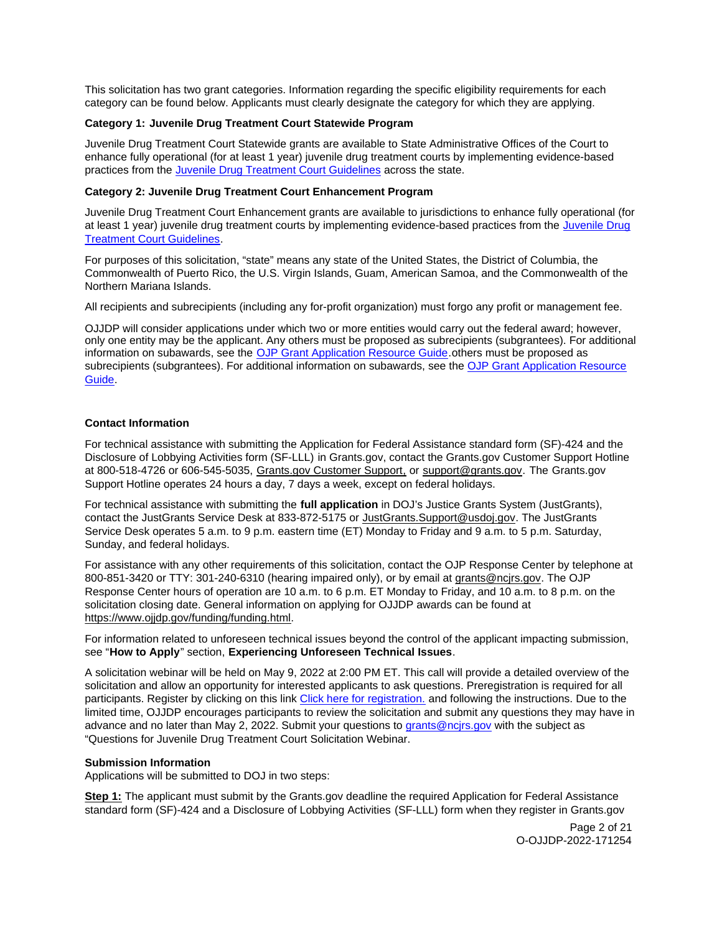<span id="page-1-0"></span>This solicitation has two grant categories. Information regarding the specific eligibility requirements for each category can be found below. Applicants must clearly designate the category for which they are applying.

## **Category 1: Juvenile Drug Treatment Court Statewide Program**

Juvenile Drug Treatment Court Statewide grants are available to State Administrative Offices of the Court to enhance fully operational (for at least 1 year) juvenile drug treatment courts by implementing evidence-based practices from the [Juvenile Drug Treatment Court Guidelines](https://ojjdp.ojp.gov/sites/g/files/xyckuh176/files/pubs/250368.pdf) across the state.

## **Category 2: Juvenile Drug Treatment Court Enhancement Program**

Juvenile Drug Treatment Court Enhancement grants are available to jurisdictions to enhance fully operational (for at least 1 year) juvenile drug treatment courts by implementing evidence-based practices from the [Juvenile Drug](https://ojjdp.ojp.gov/sites/g/files/xyckuh176/files/pubs/250368.pdf)  [Treatment Court Guidelines.](https://ojjdp.ojp.gov/sites/g/files/xyckuh176/files/pubs/250368.pdf)

For purposes of this solicitation, "state" means any state of the United States, the District of Columbia, the Commonwealth of Puerto Rico, the U.S. Virgin Islands, Guam, American Samoa, and the Commonwealth of the Northern Mariana Islands.

All recipients and subrecipients (including any for-profit organization) must forgo any profit or management fee.

OJJDP will consider applications under which two or more entities would carry out the federal award; however, only one entity may be the applicant. Any others must be proposed as subrecipients (subgrantees). For additional information on subawards, see the [OJP Grant Application Resource Guide.](https://www.ojp.gov/funding/Apply/Resources/Grant-App-Resource-Guide.htm)others must be proposed as subrecipients (subgrantees). For additional information on subawards, see the [OJP Grant Application Resource](https://www.ojp.gov/funding/Apply/Resources/Grant-App-Resource-Guide.htm)  [Guide.](https://www.ojp.gov/funding/Apply/Resources/Grant-App-Resource-Guide.htm)

## **Contact Information**

For technical assistance with submitting the Application for Federal Assistance standard form (SF)-424 and the Disclosure of Lobbying Activities form (SF-LLL) in [Grants.gov](https://Grants.gov), contact the [Grants.gov](https://Grants.gov) Customer Support Hotline at 800-518-4726 or 606-545-5035, [Grants.gov Customer Support,](https://www.grants.gov/web/grants/support.html) or [support@grants.gov.](mailto:support@grants.gov) The [Grants.gov](https://Grants.gov)  Support Hotline operates 24 hours a day, 7 days a week, except on federal holidays.

For technical assistance with submitting the **full application** in DOJ's Justice Grants System (JustGrants), contact the JustGrants Service Desk at 833-872-5175 or [JustGrants.Support@usdoj.gov.](mailto:JustGrants.Support@usdoj.gov) The JustGrants Service Desk operates 5 a.m. to 9 p.m. eastern time (ET) Monday to Friday and 9 a.m. to 5 p.m. Saturday, Sunday, and federal holidays.

For assistance with any other requirements of this solicitation, contact the OJP Response Center by telephone at 800-851-3420 or TTY: 301-240-6310 (hearing impaired only), or by email at [grants@ncjrs.gov.](mailto:grants@ncjrs.gov) The OJP Response Center hours of operation are 10 a.m. to 6 p.m. ET Monday to Friday, and 10 a.m. to 8 p.m. on the solicitation closing date. General information on applying for OJJDP awards can be found at [https://www.ojjdp.gov/funding/funding.html.](https://www.ojjdp.gov/funding/funding.html)

For information related to unforeseen technical issues beyond the control of the applicant impacting submission, see "**How to Apply**" section, **Experiencing Unforeseen Technical Issues**.

A solicitation webinar will be held on May 9, 2022 at 2:00 PM ET. This call will provide a detailed overview of the solicitation and allow an opportunity for interested applicants to ask questions. Preregistration is required for all participants. Register by clicking on this link [Click here for registration.](https://ojp.webex.com/ojp/onstage/g.php?MTID=e2eb89fcd8cc25d893e144e3a07847ffa) and following the instructions. Due to the limited time, OJJDP encourages participants to review the solicitation and submit any questions they may have in advance and no later than May 2, 2022. Submit your questions to [grants@ncjrs.gov](mailto:grants@ncjrs.gov) with the subject as "Questions for Juvenile Drug Treatment Court Solicitation Webinar.

## **Submission Information**

Applications will be submitted to DOJ in two steps:

**Step 1:** The applicant must submit by the [Grants.gov](https://Grants.gov) deadline the required Application for Federal Assistance standard form (SF)-424 and a Disclosure of Lobbying Activities (SF-LLL) form when they register in [Grants.gov](https://Grants.gov) 

> Page 2 of 21 O-OJJDP-2022-171254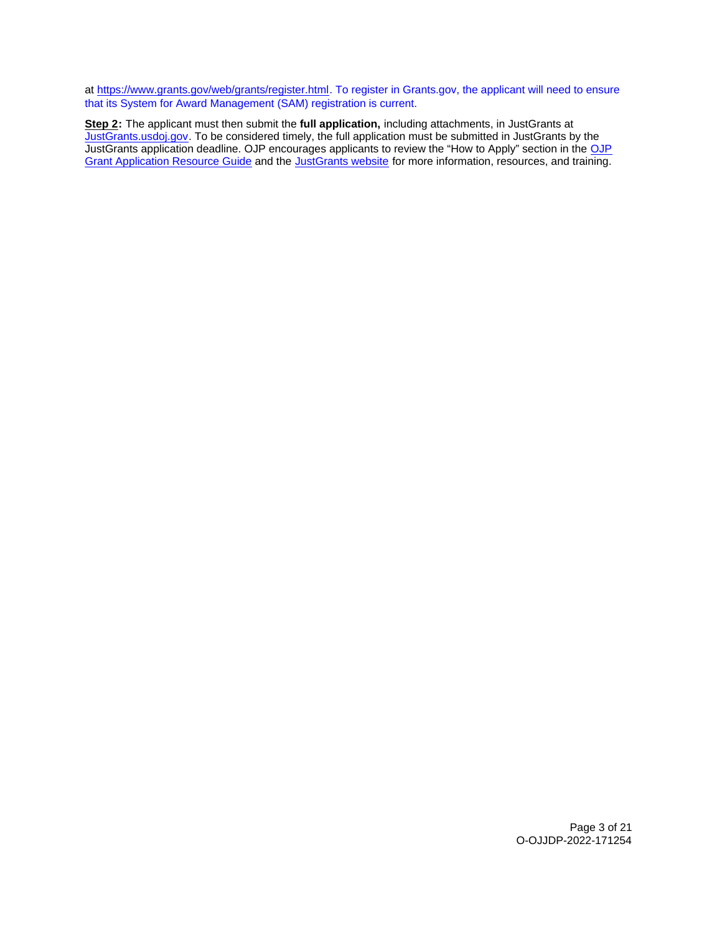at [https://www.grants.gov/web/grants/register.html.](https://www.grants.gov/web/grants/register.html) To register in [Grants.gov](https://Grants.gov), the applicant will need to ensure that its System for Award Management (SAM) registration is current.

**Step 2:** The applicant must then submit the **full application,** including attachments, in JustGrants at [JustGrants.usdoj.gov.](https://justicegrants.usdoj.gov/) To be considered timely, the full application must be submitted in JustGrants by the JustGrants application deadline. [OJP](https://www.ojp.gov/funding/apply/ojp-grant-application-resource-guide#apply) encourages applicants to review the "How to Apply" section in the OJP [Grant Application Resource Guide](https://www.ojp.gov/funding/apply/ojp-grant-application-resource-guide#apply) and the [JustGrants website](https://justicegrants.usdoj.gov/news) for more information, resources, and training.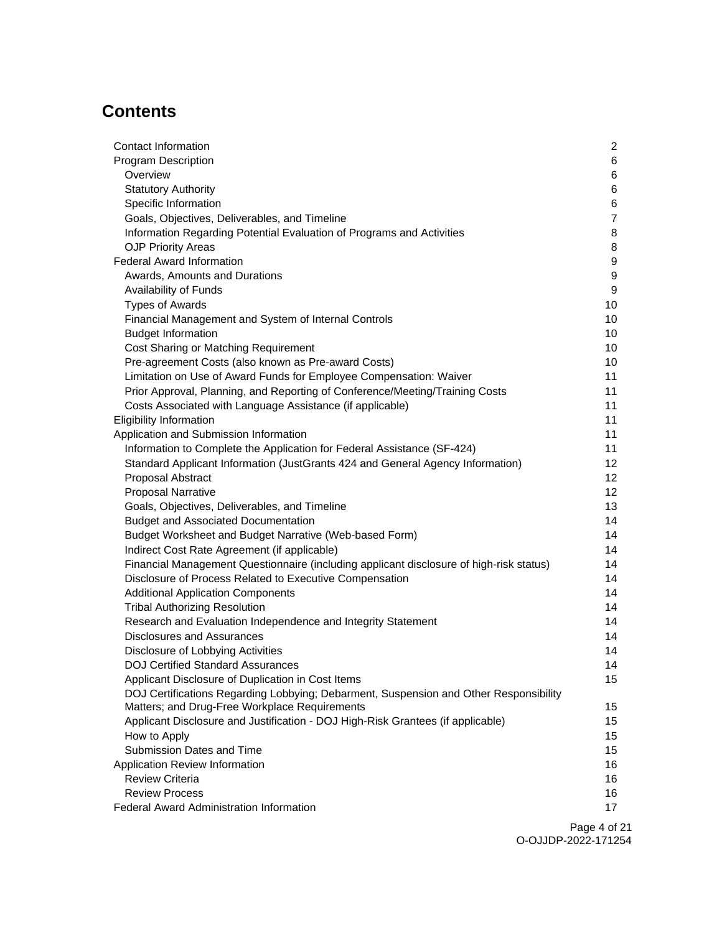# **Contents**

| Contact Information                                                                     | $\overline{2}$ |
|-----------------------------------------------------------------------------------------|----------------|
| <b>Program Description</b>                                                              | 6              |
| Overview                                                                                | 6              |
| <b>Statutory Authority</b>                                                              | 6              |
| Specific Information                                                                    | $\,6$          |
| Goals, Objectives, Deliverables, and Timeline                                           | $\overline{7}$ |
| Information Regarding Potential Evaluation of Programs and Activities                   | 8              |
| <b>OJP Priority Areas</b>                                                               | 8              |
| <b>Federal Award Information</b>                                                        | 9              |
| Awards, Amounts and Durations                                                           | 9              |
| Availability of Funds                                                                   | 9              |
| <b>Types of Awards</b>                                                                  | 10             |
| Financial Management and System of Internal Controls                                    | 10             |
| <b>Budget Information</b>                                                               | 10             |
| Cost Sharing or Matching Requirement                                                    | 10             |
| Pre-agreement Costs (also known as Pre-award Costs)                                     | 10             |
| Limitation on Use of Award Funds for Employee Compensation: Waiver                      | 11             |
| Prior Approval, Planning, and Reporting of Conference/Meeting/Training Costs            | 11             |
| Costs Associated with Language Assistance (if applicable)                               | 11             |
| <b>Eligibility Information</b>                                                          | 11             |
| Application and Submission Information                                                  | 11             |
| Information to Complete the Application for Federal Assistance (SF-424)                 | 11             |
| Standard Applicant Information (JustGrants 424 and General Agency Information)          | 12             |
| Proposal Abstract                                                                       | 12             |
| <b>Proposal Narrative</b>                                                               | 12             |
| Goals, Objectives, Deliverables, and Timeline                                           | 13             |
| <b>Budget and Associated Documentation</b>                                              | 14             |
| Budget Worksheet and Budget Narrative (Web-based Form)                                  | 14             |
| Indirect Cost Rate Agreement (if applicable)                                            | 14             |
| Financial Management Questionnaire (including applicant disclosure of high-risk status) | 14             |
| Disclosure of Process Related to Executive Compensation                                 | 14             |
| <b>Additional Application Components</b>                                                | 14             |
| <b>Tribal Authorizing Resolution</b>                                                    | 14             |
| Research and Evaluation Independence and Integrity Statement                            | 14             |
| <b>Disclosures and Assurances</b>                                                       | 14             |
| Disclosure of Lobbying Activities                                                       | 14             |
| <b>DOJ Certified Standard Assurances</b>                                                | 14             |
| Applicant Disclosure of Duplication in Cost Items                                       | 15             |
| DOJ Certifications Regarding Lobbying; Debarment, Suspension and Other Responsibility   |                |
| Matters; and Drug-Free Workplace Requirements                                           | 15             |
| Applicant Disclosure and Justification - DOJ High-Risk Grantees (if applicable)         | 15             |
| How to Apply                                                                            | 15             |
| Submission Dates and Time                                                               | 15             |
| Application Review Information                                                          | 16             |
| <b>Review Criteria</b>                                                                  | 16             |
| <b>Review Process</b>                                                                   | 16             |
| <b>Federal Award Administration Information</b>                                         | 17             |
|                                                                                         |                |

Page 4 of 21 O-OJJDP-2022-171254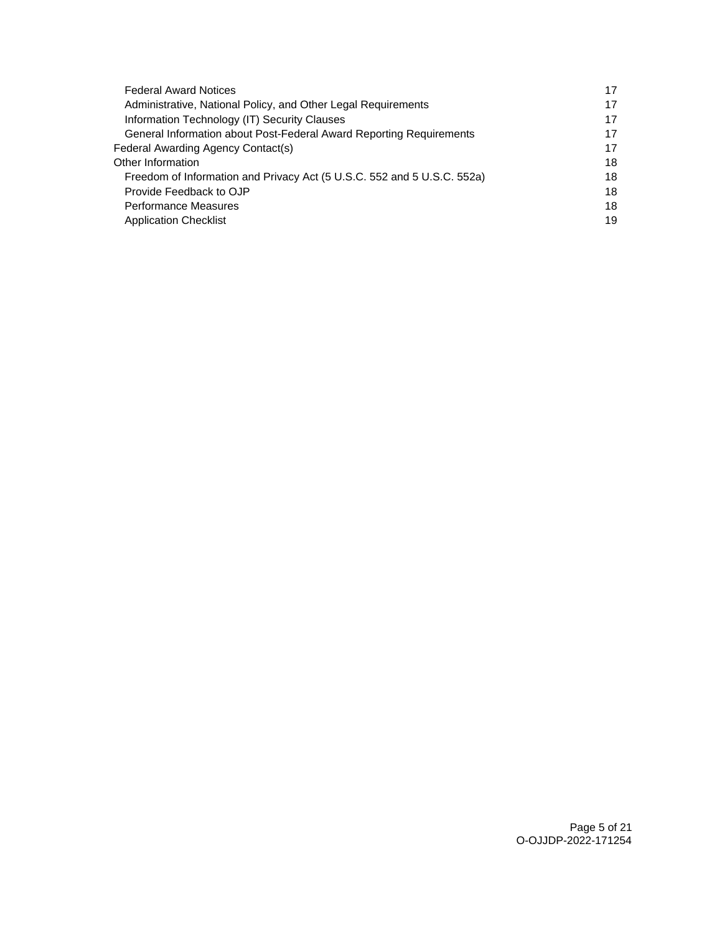| 17 |
|----|
| 17 |
| 17 |
| 17 |
| 17 |
| 18 |
| 18 |
| 18 |
| 18 |
| 19 |
|    |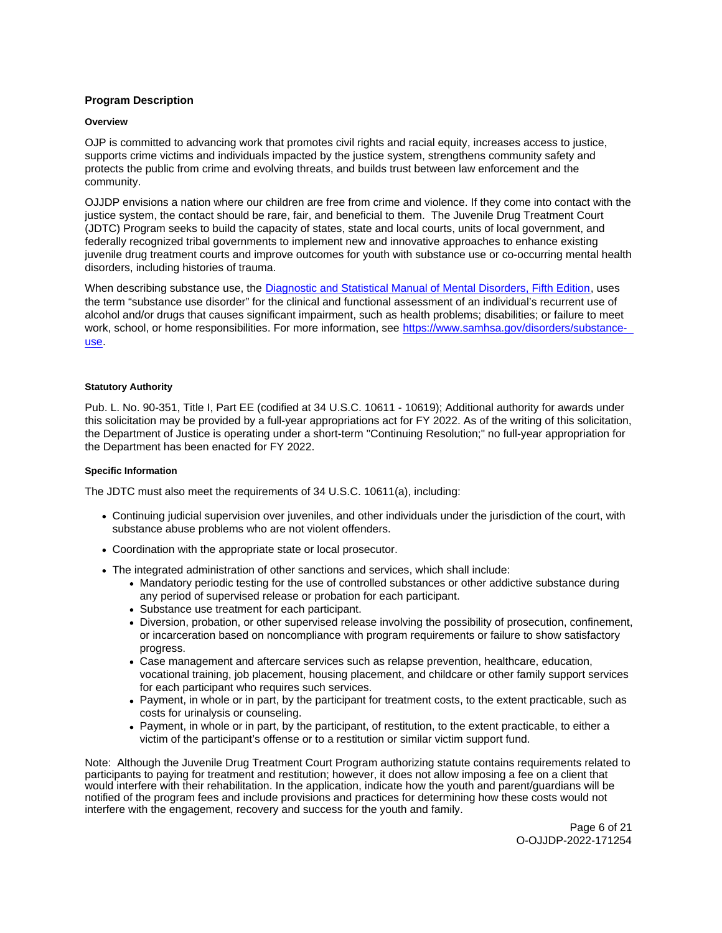## <span id="page-5-0"></span>**Program Description**

#### **Overview**

OJP is committed to advancing work that promotes civil rights and racial equity, increases access to justice, supports crime victims and individuals impacted by the justice system, strengthens community safety and protects the public from crime and evolving threats, and builds trust between law enforcement and the community.

OJJDP envisions a nation where our children are free from crime and violence. If they come into contact with the justice system, the contact should be rare, fair, and beneficial to them. The Juvenile Drug Treatment Court (JDTC) Program seeks to build the capacity of states, state and local courts, units of local government, and federally recognized tribal governments to implement new and innovative approaches to enhance existing juvenile drug treatment courts and improve outcomes for youth with substance use or co-occurring mental health disorders, including histories of trauma.

When describing substance use, the [Diagnostic and Statistical Manual of Mental Disorders, Fifth Edition,](https://dsm.psychiatryonline.org/doi/book/10.1176/appi.books.9780890425596) uses the term "substance use disorder" for the clinical and functional assessment of an individual's recurrent use of alcohol and/or drugs that causes significant impairment, such as health problems; disabilities; or failure to meet work, school, or home responsibilities. For more information, see [https://www.samhsa.gov/disorders/substance](https://www.samhsa.gov/disorders/substance-use)[use.](https://www.samhsa.gov/disorders/substance-use)

## **Statutory Authority**

Pub. L. No. 90-351, Title I, Part EE (codified at 34 U.S.C. 10611 - 10619); Additional authority for awards under this solicitation may be provided by a full-year appropriations act for FY 2022. As of the writing of this solicitation, the Department of Justice is operating under a short-term "Continuing Resolution;" no full-year appropriation for the Department has been enacted for FY 2022.

#### **Specific Information**

The JDTC must also meet the requirements of 34 U.S.C. 10611(a), including:

- Continuing judicial supervision over juveniles, and other individuals under the jurisdiction of the court, with substance abuse problems who are not violent offenders.
- Coordination with the appropriate state or local prosecutor.
- The integrated administration of other sanctions and services, which shall include:
	- Mandatory periodic testing for the use of controlled substances or other addictive substance during any period of supervised release or probation for each participant.
	- Substance use treatment for each participant.
	- Diversion, probation, or other supervised release involving the possibility of prosecution, confinement, or incarceration based on noncompliance with program requirements or failure to show satisfactory progress.
	- Case management and aftercare services such as relapse prevention, healthcare, education, vocational training, job placement, housing placement, and childcare or other family support services for each participant who requires such services.
	- Payment, in whole or in part, by the participant for treatment costs, to the extent practicable, such as costs for urinalysis or counseling.
	- Payment, in whole or in part, by the participant, of restitution, to the extent practicable, to either a victim of the participant's offense or to a restitution or similar victim support fund.

Note: Although the Juvenile Drug Treatment Court Program authorizing statute contains requirements related to participants to paying for treatment and restitution; however, it does not allow imposing a fee on a client that would interfere with their rehabilitation. In the application, indicate how the youth and parent/guardians will be notified of the program fees and include provisions and practices for determining how these costs would not interfere with the engagement, recovery and success for the youth and family.

> Page 6 of 21 O-OJJDP-2022-171254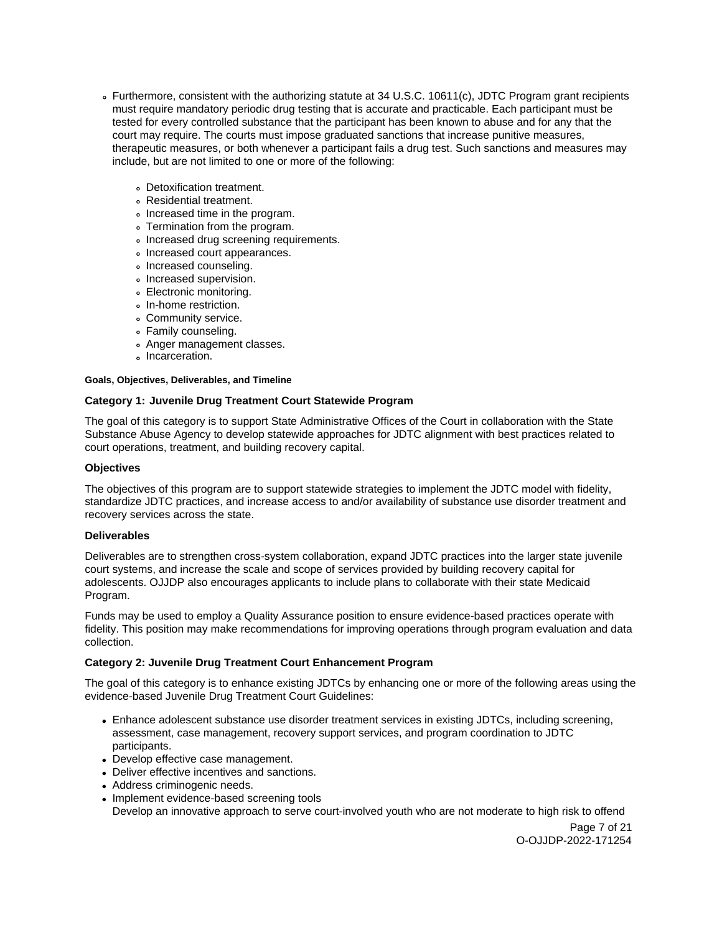- <span id="page-6-0"></span>Furthermore, consistent with the authorizing statute at 34 U.S.C. 10611(c), JDTC Program grant recipients must require mandatory periodic drug testing that is accurate and practicable. Each participant must be tested for every controlled substance that the participant has been known to abuse and for any that the court may require. The courts must impose graduated sanctions that increase punitive measures, therapeutic measures, or both whenever a participant fails a drug test. Such sanctions and measures may include, but are not limited to one or more of the following:
	- Detoxification treatment.
	- Residential treatment.
	- Increased time in the program.
	- Termination from the program.
	- . Increased drug screening requirements.
	- Increased court appearances.
	- Increased counseling.
	- Increased supervision.
	- Electronic monitoring.
	- In-home restriction.
	- Community service.
	- Family counseling.
	- Anger management classes.
	- Incarceration.

## **Goals, Objectives, Deliverables, and Timeline**

## **Category 1: Juvenile Drug Treatment Court Statewide Program**

The goal of this category is to support State Administrative Offices of the Court in collaboration with the State Substance Abuse Agency to develop statewide approaches for JDTC alignment with best practices related to court operations, treatment, and building recovery capital.

## **Objectives**

The objectives of this program are to support statewide strategies to implement the JDTC model with fidelity, standardize JDTC practices, and increase access to and/or availability of substance use disorder treatment and recovery services across the state.

## **Deliverables**

Deliverables are to strengthen cross-system collaboration, expand JDTC practices into the larger state juvenile court systems, and increase the scale and scope of services provided by building recovery capital for adolescents. OJJDP also encourages applicants to include plans to collaborate with their state Medicaid Program.

Funds may be used to employ a Quality Assurance position to ensure evidence-based practices operate with fidelity. This position may make recommendations for improving operations through program evaluation and data collection.

## **Category 2: Juvenile Drug Treatment Court Enhancement Program**

The goal of this category is to enhance existing JDTCs by enhancing one or more of the following areas using the evidence-based Juvenile Drug Treatment Court Guidelines:

- Enhance adolescent substance use disorder treatment services in existing JDTCs, including screening, assessment, case management, recovery support services, and program coordination to JDTC participants.
- Develop effective case management.
- Deliver effective incentives and sanctions.
- Address criminogenic needs.
- Implement evidence-based screening tools Develop an innovative approach to serve court-involved youth who are not moderate to high risk to offend

Page 7 of 21 O-OJJDP-2022-171254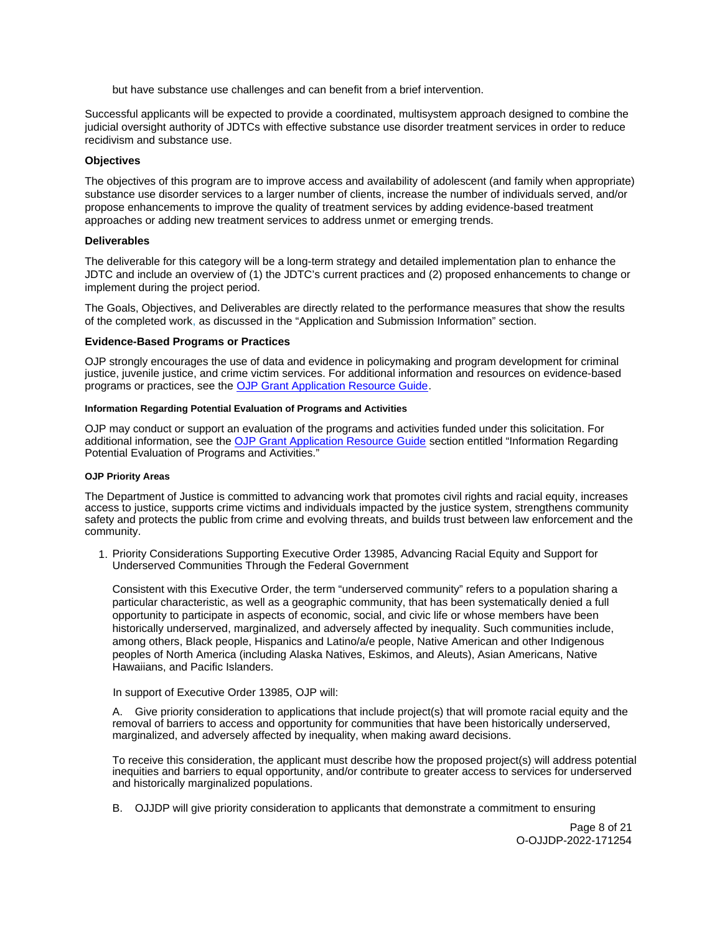but have substance use challenges and can benefit from a brief intervention.

<span id="page-7-0"></span>Successful applicants will be expected to provide a coordinated, multisystem approach designed to combine the judicial oversight authority of JDTCs with effective substance use disorder treatment services in order to reduce recidivism and substance use.

## **Objectives**

The objectives of this program are to improve access and availability of adolescent (and family when appropriate) substance use disorder services to a larger number of clients, increase the number of individuals served, and/or propose enhancements to improve the quality of treatment services by adding evidence-based treatment approaches or adding new treatment services to address unmet or emerging trends.

#### **Deliverables**

The deliverable for this category will be a long-term strategy and detailed implementation plan to enhance the JDTC and include an overview of (1) the JDTC's current practices and (2) proposed enhancements to change or implement during the project period.

The Goals, Objectives, and Deliverables are directly related to the performance measures that show the results of the completed work, as discussed in the "Application and Submission Information" section.

#### **Evidence-Based Programs or Practices**

OJP strongly encourages the use of data and evidence in policymaking and program development for criminal justice, juvenile justice, and crime victim services. For additional information and resources on evidence-based programs or practices, see the [OJP Grant Application Resource Guide.](https://www.ojp.gov/funding/apply/ojp-grant-application-resource-guide#evidence-based)

## **Information Regarding Potential Evaluation of Programs and Activities**

OJP may conduct or support an evaluation of the programs and activities funded under this solicitation. For additional information, see the [OJP Grant Application Resource Guide](https://www.ojp.gov/funding/apply/ojp-grant-application-resource-guide#potential-evaluation) section entitled "Information Regarding Potential Evaluation of Programs and Activities."

#### **OJP Priority Areas**

The Department of Justice is committed to advancing work that promotes civil rights and racial equity, increases access to justice, supports crime victims and individuals impacted by the justice system, strengthens community safety and protects the public from crime and evolving threats, and builds trust between law enforcement and the community.

1. Priority Considerations Supporting Executive Order 13985, Advancing Racial Equity and Support for Underserved Communities Through the Federal Government

Consistent with this Executive Order, the term "underserved community" refers to a population sharing a particular characteristic, as well as a geographic community, that has been systematically denied a full opportunity to participate in aspects of economic, social, and civic life or whose members have been historically underserved, marginalized, and adversely affected by inequality. Such communities include, among others, Black people, Hispanics and Latino/a/e people, Native American and other Indigenous peoples of North America (including Alaska Natives, Eskimos, and Aleuts), Asian Americans, Native Hawaiians, and Pacific Islanders.

In support of Executive Order 13985, OJP will:

A. Give priority consideration to applications that include project(s) that will promote racial equity and the removal of barriers to access and opportunity for communities that have been historically underserved, marginalized, and adversely affected by inequality, when making award decisions.

To receive this consideration, the applicant must describe how the proposed project(s) will address potential inequities and barriers to equal opportunity, and/or contribute to greater access to services for underserved and historically marginalized populations.

B. OJJDP will give priority consideration to applicants that demonstrate a commitment to ensuring

Page 8 of 21 O-OJJDP-2022-171254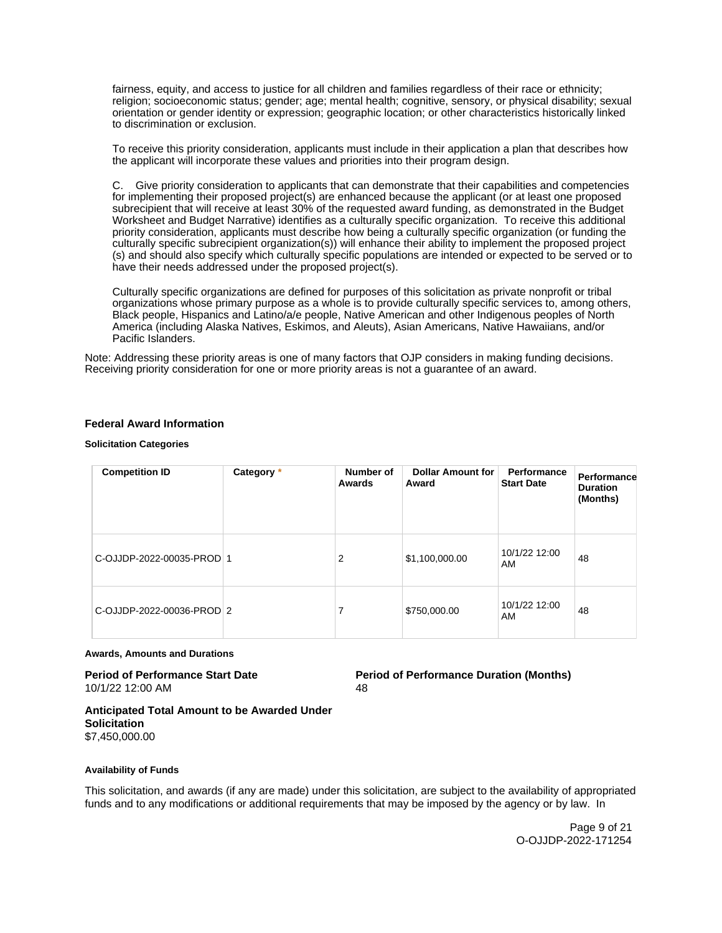<span id="page-8-0"></span>fairness, equity, and access to justice for all children and families regardless of their race or ethnicity; religion; socioeconomic status; gender; age; mental health; cognitive, sensory, or physical disability; sexual orientation or gender identity or expression; geographic location; or other characteristics historically linked to discrimination or exclusion.

To receive this priority consideration, applicants must include in their application a plan that describes how the applicant will incorporate these values and priorities into their program design.

C. Give priority consideration to applicants that can demonstrate that their capabilities and competencies for implementing their proposed project(s) are enhanced because the applicant (or at least one proposed subrecipient that will receive at least 30% of the requested award funding, as demonstrated in the Budget Worksheet and Budget Narrative) identifies as a culturally specific organization. To receive this additional priority consideration, applicants must describe how being a culturally specific organization (or funding the culturally specific subrecipient organization(s)) will enhance their ability to implement the proposed project (s) and should also specify which culturally specific populations are intended or expected to be served or to have their needs addressed under the proposed project(s).

Culturally specific organizations are defined for purposes of this solicitation as private nonprofit or tribal organizations whose primary purpose as a whole is to provide culturally specific services to, among others, Black people, Hispanics and Latino/a/e people, Native American and other Indigenous peoples of North America (including Alaska Natives, Eskimos, and Aleuts), Asian Americans, Native Hawaiians, and/or Pacific Islanders.

Note: Addressing these priority areas is one of many factors that OJP considers in making funding decisions. Receiving priority consideration for one or more priority areas is not a guarantee of an award.

## **Federal Award Information**

#### **Solicitation Categories**

| <b>Competition ID</b>     | Category * | Number of<br>Awards | <b>Dollar Amount for</b><br>Award | Performance<br><b>Start Date</b> | Performance<br><b>Duration</b><br>(Months) |
|---------------------------|------------|---------------------|-----------------------------------|----------------------------------|--------------------------------------------|
| C-OJJDP-2022-00035-PROD 1 |            | 2                   | \$1,100,000.00                    | 10/1/22 12:00<br>AM              | 48                                         |
| C-OJJDP-2022-00036-PROD 2 |            | 7                   | \$750,000.00                      | 10/1/22 12:00<br>AM              | 48                                         |

#### **Awards, Amounts and Durations**

# 10/1/22 12:00 AM 48

**Period of Performance Start Date**  Period of Performance Duration (Months)

#### **Anticipated Total Amount to be Awarded Under Solicitation**  \$7,450,000.00

#### **Availability of Funds**

This solicitation, and awards (if any are made) under this solicitation, are subject to the availability of appropriated funds and to any modifications or additional requirements that may be imposed by the agency or by law. In

> Page 9 of 21 O-OJJDP-2022-171254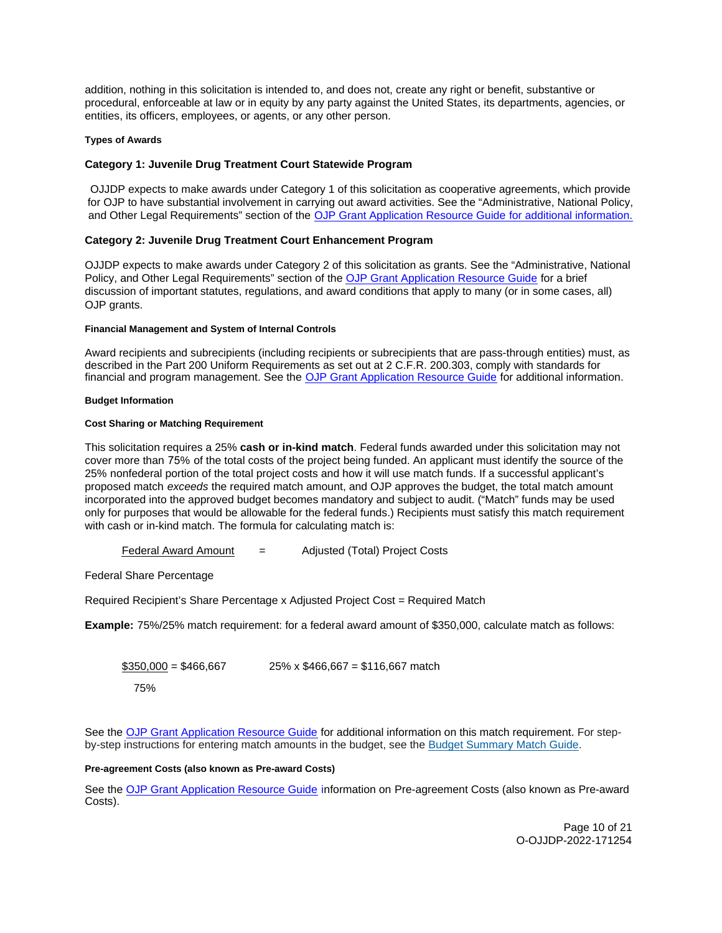<span id="page-9-0"></span>addition, nothing in this solicitation is intended to, and does not, create any right or benefit, substantive or procedural, enforceable at law or in equity by any party against the United States, its departments, agencies, or entities, its officers, employees, or agents, or any other person.

## **Types of Awards**

## **Category 1: Juvenile Drug Treatment Court Statewide Program**

OJJDP expects to make awards under Category 1 of this solicitation as cooperative agreements, which provide for OJP to have substantial involvement in carrying out award activities. See the "Administrative, National Policy, and Other Legal Requirements" section of the [OJP Grant Application Resource Guide](https://ojp.gov/funding/Apply/Resources/Grant-App-Resource-Guide.htm) for additional information.

## **Category 2: Juvenile Drug Treatment Court Enhancement Program**

OJJDP expects to make awards under Category 2 of this solicitation as grants. See the "Administrative, National Policy, and Other Legal Requirements" section of the [OJP Grant Application Resource Guide](https://ojp.gov/funding/Apply/Resources/Grant-App-Resource-Guide.htm) for a brief discussion of important statutes, regulations, and award conditions that apply to many (or in some cases, all) OJP grants.

## **Financial Management and System of Internal Controls**

Award recipients and subrecipients (including recipients or subrecipients that are pass-through entities) must, as described in the Part 200 Uniform Requirements as set out at 2 C.F.R. 200.303, comply with standards for financial and program management. See the [OJP Grant Application Resource Guide](https://www.ojp.gov/funding/apply/ojp-grant-application-resource-guide#fm-internal-controls) for additional information.

#### **Budget Information**

## **Cost Sharing or Matching Requirement**

This solicitation requires a 25% **cash or in-kind match**. Federal funds awarded under this solicitation may not cover more than 75% of the total costs of the project being funded. An applicant must identify the source of the 25% nonfederal portion of the total project costs and how it will use match funds. If a successful applicant's proposed match exceeds the required match amount, and OJP approves the budget, the total match amount incorporated into the approved budget becomes mandatory and subject to audit. ("Match" funds may be used only for purposes that would be allowable for the federal funds.) Recipients must satisfy this match requirement with cash or in-kind match. The formula for calculating match is:

Federal Award Amount = Adjusted (Total) Project Costs

Federal Share Percentage

Required Recipient's Share Percentage x Adjusted Project Cost = Required Match

**Example:** 75%/25% match requirement: for a federal award amount of \$350,000, calculate match as follows:

 $$350,000 = $466,667$  25% x \$466,667 = \$116,667 match 75%

See the [OJP Grant Application Resource Guide](https://www.ojp.gov/funding/apply/ojp-grant-application-resource-guide#cost-sharing) for additional information on this match requirement. For stepby-step instructions for entering match amounts in the budget, see the [Budget Summary Match Guide.](https://justicegrants.usdoj.gov/sites/g/files/xyckuh296/files/media/document/budget-summary-match-guide.pdf)

## **Pre-agreement Costs (also known as Pre-award Costs)**

See the [OJP Grant Application Resource Guide](https://www.ojp.gov/funding/apply/ojp-grant-application-resource-guide#pre-agreement-costs) information on Pre-agreement Costs (also known as Pre-award Costs).

> Page 10 of 21 O-OJJDP-2022-171254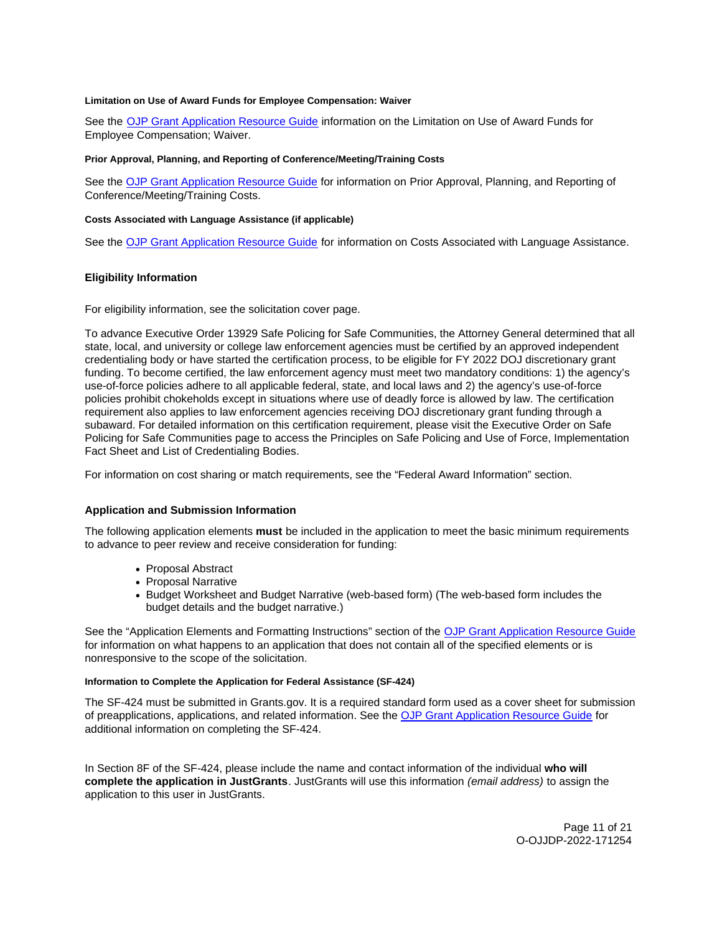#### <span id="page-10-0"></span>**Limitation on Use of Award Funds for Employee Compensation: Waiver**

See the [OJP Grant Application Resource Guide](https://www.ojp.gov/funding/apply/ojp-grant-application-resource-guide#limitation-use-award) information on the Limitation on Use of Award Funds for Employee Compensation; Waiver.

#### **Prior Approval, Planning, and Reporting of Conference/Meeting/Training Costs**

See the [OJP Grant Application Resource Guide](https://www.ojp.gov/funding/apply/ojp-grant-application-resource-guide#prior-approval) for information on Prior Approval, Planning, and Reporting of Conference/Meeting/Training Costs.

#### **Costs Associated with Language Assistance (if applicable)**

See the [OJP Grant Application Resource Guide](https://www.ojp.gov/funding/apply/ojp-grant-application-resource-guide#costs-associated) for information on Costs Associated with Language Assistance.

## **Eligibility Information**

For eligibility information, see the solicitation cover page.

To advance Executive Order 13929 Safe Policing for Safe Communities, the Attorney General determined that all state, local, and university or college law enforcement agencies must be certified by an approved independent credentialing body or have started the certification process, to be eligible for FY 2022 DOJ discretionary grant funding. To become certified, the law enforcement agency must meet two mandatory conditions: 1) the agency's use-of-force policies adhere to all applicable federal, state, and local laws and 2) the agency's use-of-force policies prohibit chokeholds except in situations where use of deadly force is allowed by law. The certification requirement also applies to law enforcement agencies receiving DOJ discretionary grant funding through a subaward. For detailed information on this certification requirement, please visit the Executive Order on Safe Policing for Safe Communities page to access the Principles on Safe Policing and Use of Force, Implementation Fact Sheet and List of Credentialing Bodies.

For information on cost sharing or match requirements, see the "Federal Award Information" section.

## **Application and Submission Information**

The following application elements **must** be included in the application to meet the basic minimum requirements to advance to peer review and receive consideration for funding:

- Proposal Abstract
- Proposal Narrative
- Budget Worksheet and Budget Narrative (web-based form) (The web-based form includes the budget details and the budget narrative.)

See the "Application Elements and Formatting Instructions" section of the [OJP Grant Application Resource Guide](https://www.ojp.gov/funding/apply/ojp-grant-application-resource-guide#application-elements)  for information on what happens to an application that does not contain all of the specified elements or is nonresponsive to the scope of the solicitation.

## **Information to Complete the Application for Federal Assistance (SF-424)**

The SF-424 must be submitted in [Grants.gov](https://Grants.gov). It is a required standard form used as a cover sheet for submission of preapplications, applications, and related information. See the [OJP Grant Application Resource Guide](https://www.ojp.gov/funding/apply/ojp-grant-application-resource-guide#complete-application) for additional information on completing the SF-424.

In Section 8F of the SF-424, please include the name and contact information of the individual **who will complete the application in JustGrants**. JustGrants will use this information (email address) to assign the application to this user in JustGrants.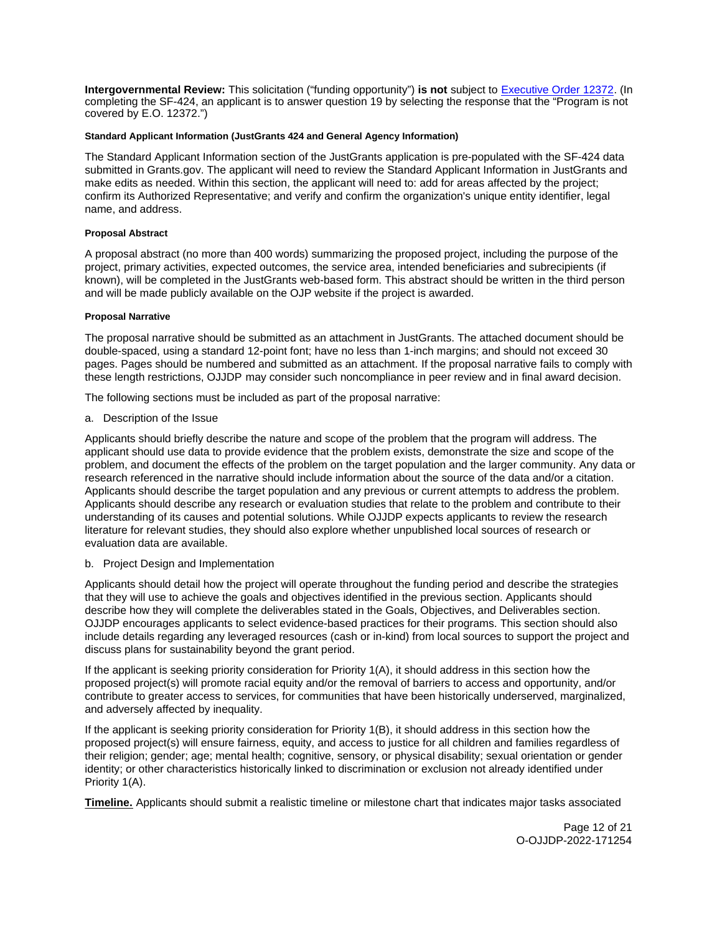<span id="page-11-0"></span>**Intergovernmental Review:** This solicitation ("funding opportunity") **is not** subject to [Executive Order 12372.](https://www.archives.gov/federal-register/codification/executive-order/12372.html) (In completing the SF-424, an applicant is to answer question 19 by selecting the response that the "Program is not covered by E.O. 12372.")

## **Standard Applicant Information (JustGrants 424 and General Agency Information)**

The Standard Applicant Information section of the JustGrants application is pre-populated with the SF-424 data submitted in [Grants.gov.](https://Grants.gov) The applicant will need to review the Standard Applicant Information in JustGrants and make edits as needed. Within this section, the applicant will need to: add for areas affected by the project; confirm its Authorized Representative; and verify and confirm the organization's unique entity identifier, legal name, and address.

## **Proposal Abstract**

A proposal abstract (no more than 400 words) summarizing the proposed project, including the purpose of the project, primary activities, expected outcomes, the service area, intended beneficiaries and subrecipients (if known), will be completed in the JustGrants web-based form. This abstract should be written in the third person and will be made publicly available on the OJP website if the project is awarded.

#### **Proposal Narrative**

The proposal narrative should be submitted as an attachment in JustGrants. The attached document should be double-spaced, using a standard 12-point font; have no less than 1-inch margins; and should not exceed 30 pages. Pages should be numbered and submitted as an attachment. If the proposal narrative fails to comply with these length restrictions, OJJDP may consider such noncompliance in peer review and in final award decision.

The following sections must be included as part of the proposal narrative:

a. Description of the Issue

Applicants should briefly describe the nature and scope of the problem that the program will address. The applicant should use data to provide evidence that the problem exists, demonstrate the size and scope of the problem, and document the effects of the problem on the target population and the larger community. Any data or research referenced in the narrative should include information about the source of the data and/or a citation. Applicants should describe the target population and any previous or current attempts to address the problem. Applicants should describe any research or evaluation studies that relate to the problem and contribute to their understanding of its causes and potential solutions. While OJJDP expects applicants to review the research literature for relevant studies, they should also explore whether unpublished local sources of research or evaluation data are available.

## b. Project Design and Implementation

Applicants should detail how the project will operate throughout the funding period and describe the strategies that they will use to achieve the goals and objectives identified in the previous section. Applicants should describe how they will complete the deliverables stated in the Goals, Objectives, and Deliverables section. OJJDP encourages applicants to select evidence-based practices for their programs. This section should also include details regarding any leveraged resources (cash or in-kind) from local sources to support the project and discuss plans for sustainability beyond the grant period.

If the applicant is seeking priority consideration for Priority 1(A), it should address in this section how the proposed project(s) will promote racial equity and/or the removal of barriers to access and opportunity, and/or contribute to greater access to services, for communities that have been historically underserved, marginalized, and adversely affected by inequality.

If the applicant is seeking priority consideration for Priority 1(B), it should address in this section how the proposed project(s) will ensure fairness, equity, and access to justice for all children and families regardless of their religion; gender; age; mental health; cognitive, sensory, or physical disability; sexual orientation or gender identity; or other characteristics historically linked to discrimination or exclusion not already identified under Priority 1(A).

**Timeline.** Applicants should submit a realistic timeline or milestone chart that indicates major tasks associated

Page 12 of 21 O-OJJDP-2022-171254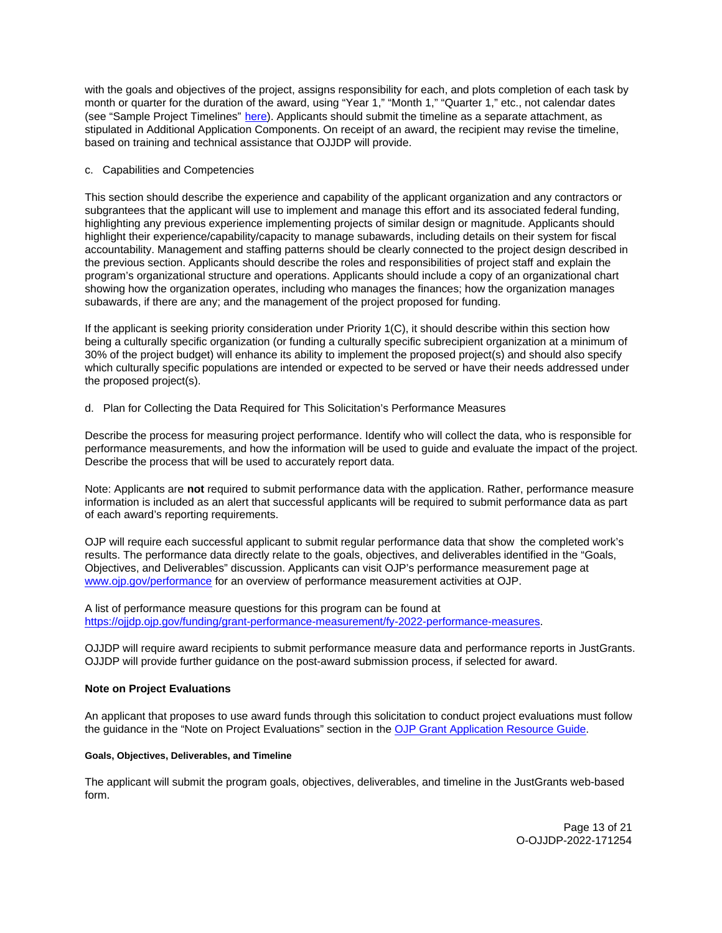<span id="page-12-0"></span>with the goals and objectives of the project, assigns responsibility for each, and plots completion of each task by month or quarter for the duration of the award, using "Year 1," "Month 1," "Quarter 1," etc., not calendar dates (see "Sample Project Timelines" [here\).](https://ojjdp.ojp.gov/funding/ojjdp-sample-timelines) Applicants should submit the timeline as a separate attachment, as stipulated in Additional Application Components. On receipt of an award, the recipient may revise the timeline, based on training and technical assistance that OJJDP will provide.

## c. Capabilities and Competencies

This section should describe the experience and capability of the applicant organization and any contractors or subgrantees that the applicant will use to implement and manage this effort and its associated federal funding, highlighting any previous experience implementing projects of similar design or magnitude. Applicants should highlight their experience/capability/capacity to manage subawards, including details on their system for fiscal accountability. Management and staffing patterns should be clearly connected to the project design described in the previous section. Applicants should describe the roles and responsibilities of project staff and explain the program's organizational structure and operations. Applicants should include a copy of an organizational chart showing how the organization operates, including who manages the finances; how the organization manages subawards, if there are any; and the management of the project proposed for funding.

If the applicant is seeking priority consideration under Priority 1(C), it should describe within this section how being a culturally specific organization (or funding a culturally specific subrecipient organization at a minimum of 30% of the project budget) will enhance its ability to implement the proposed project(s) and should also specify which culturally specific populations are intended or expected to be served or have their needs addressed under the proposed project(s).

## d. Plan for Collecting the Data Required for This Solicitation's Performance Measures

Describe the process for measuring project performance. Identify who will collect the data, who is responsible for performance measurements, and how the information will be used to guide and evaluate the impact of the project. Describe the process that will be used to accurately report data.

Note: Applicants are **not** required to submit performance data with the application. Rather, performance measure information is included as an alert that successful applicants will be required to submit performance data as part of each award's reporting requirements.

OJP will require each successful applicant to submit regular performance data that show the completed work's results. The performance data directly relate to the goals, objectives, and deliverables identified in the "Goals, Objectives, and Deliverables" discussion. Applicants can visit OJP's performance measurement page at [www.ojp.gov/performance](https://www.ojp.gov/performance) for an overview of performance measurement activities at OJP.

A list of performance measure questions for this program can be found at [https://ojjdp.ojp.gov/funding/grant-performance-measurement/fy-2022-performance-measures.](https://ojjdp.ojp.gov/funding/performance-measures/performance-measures-juvenile-drug-court.pdf) 

OJJDP will require award recipients to submit performance measure data and performance reports in JustGrants. OJJDP will provide further guidance on the post-award submission process, if selected for award.

## **Note on Project Evaluations**

An applicant that proposes to use award funds through this solicitation to conduct project evaluations must follow the guidance in the "Note on Project Evaluations" section in the [OJP Grant Application Resource Guide.](https://www.ojp.gov/funding/Apply/Resources/Grant-App-Resource-Guide.htm) 

#### **Goals, Objectives, Deliverables, and Timeline**

The applicant will submit the program goals, objectives, deliverables, and timeline in the JustGrants web-based form.

> Page 13 of 21 O-OJJDP-2022-171254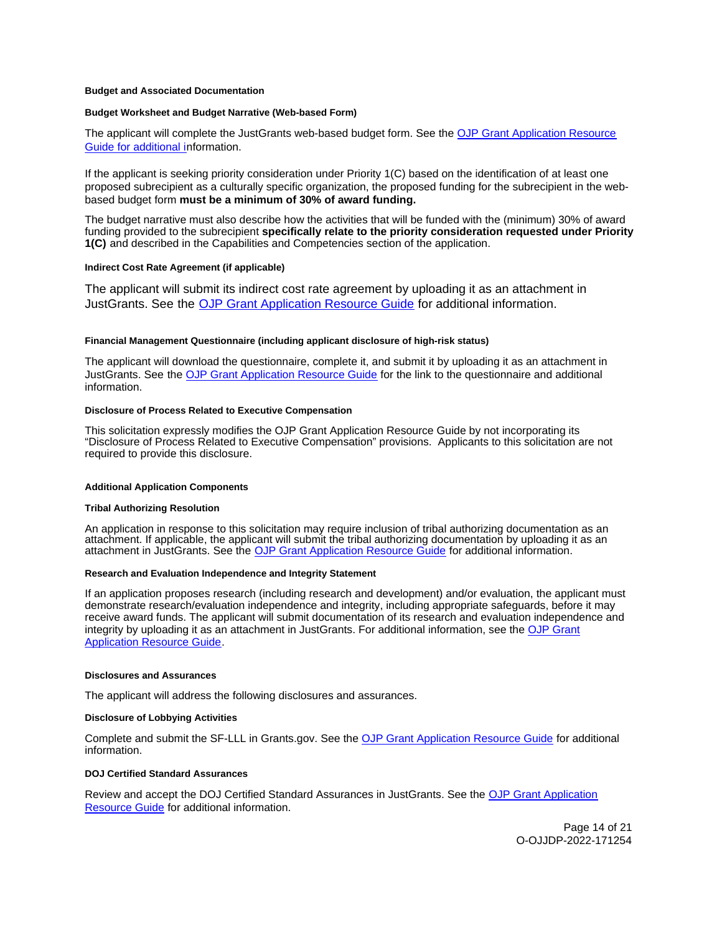#### <span id="page-13-0"></span>**Budget and Associated Documentation**

#### **Budget Worksheet and Budget Narrative (Web-based Form)**

The applicant will complete the JustGrants web-based budget form. See the [OJP Grant Application Resource](https://ojp.gov/funding/Apply/Resources/Grant-App-Resource-Guide.htm)  [Guide](https://ojp.gov/funding/Apply/Resources/Grant-App-Resource-Guide.htm) for additional information.

If the applicant is seeking priority consideration under Priority 1(C) based on the identification of at least one proposed subrecipient as a culturally specific organization, the proposed funding for the subrecipient in the webbased budget form **must be a minimum of 30% of award funding.** 

The budget narrative must also describe how the activities that will be funded with the (minimum) 30% of award funding provided to the subrecipient **specifically relate to the priority consideration requested under Priority 1(C)** and described in the Capabilities and Competencies section of the application.

#### **Indirect Cost Rate Agreement (if applicable)**

The applicant will submit its indirect cost rate agreement by uploading it as an attachment in JustGrants. See the [OJP Grant Application Resource Guide](https://www.ojp.gov/funding/apply/ojp-grant-application-resource-guide#indirect-cost) for additional information.

#### **Financial Management Questionnaire (including applicant disclosure of high-risk status)**

The applicant will download the questionnaire, complete it, and submit it by uploading it as an attachment in JustGrants. See the [OJP Grant Application Resource Guide](https://www.ojp.gov/funding/apply/ojp-grant-application-resource-guide#fm-internal-controls-questionnaire) for the link to the questionnaire and additional information.

#### **Disclosure of Process Related to Executive Compensation**

This solicitation expressly modifies the OJP Grant Application Resource Guide by not incorporating its "Disclosure of Process Related to Executive Compensation" provisions. Applicants to this solicitation are not required to provide this disclosure.

#### **Additional Application Components**

#### **Tribal Authorizing Resolution**

An application in response to this solicitation may require inclusion of tribal authorizing documentation as an attachment. If applicable, the applicant will submit the tribal authorizing documentation by uploading it as an attachment in JustGrants. See the [OJP Grant Application Resource Guide](https://www.ojp.gov/funding/apply/ojp-grant-application-resource-guide) for additional information.

## **Research and Evaluation Independence and Integrity Statement**

If an application proposes research (including research and development) and/or evaluation, the applicant must demonstrate research/evaluation independence and integrity, including appropriate safeguards, before it may receive award funds. The applicant will submit documentation of its research and evaluation independence and integrity by uploading it as an attachment in JustGrants. For additional information, see the [OJP Grant](https://www.ojp.gov/funding/apply/ojp-grant-application-resource-guide)  [Application Resource Guide.](https://www.ojp.gov/funding/apply/ojp-grant-application-resource-guide)

#### **Disclosures and Assurances**

The applicant will address the following disclosures and assurances.

#### **Disclosure of Lobbying Activities**

Complete and submit the SF-LLL in [Grants.gov.](https://Grants.gov) See the [OJP Grant Application Resource Guide](https://www.ojp.gov/funding/apply/ojp-grant-application-resource-guide#disclosure-lobby) for additional information.

#### **DOJ Certified Standard Assurances**

Review and accept the DOJ Certified Standard Assurances in JustGrants. See the [OJP Grant Application](https://www.ojp.gov/funding/apply/ojp-grant-application-resource-guide#administrative)  [Resource Guide](https://www.ojp.gov/funding/apply/ojp-grant-application-resource-guide#administrative) for additional information.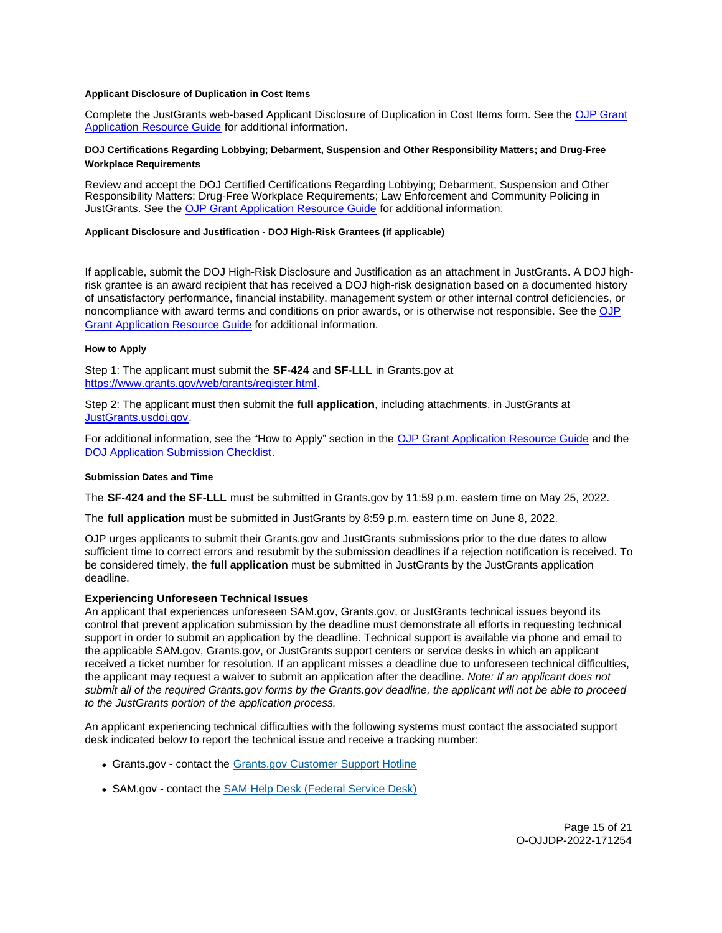#### <span id="page-14-0"></span>**Applicant Disclosure of Duplication in Cost Items**

Complete the JustGrants web-based Applicant Disclosure of Duplication in Cost Items form. See the [OJP Grant](https://www.ojp.gov/funding/apply/ojp-grant-application-resource-guide#applicant-disclosure-pending-applications)  [Application Resource Guide](https://www.ojp.gov/funding/apply/ojp-grant-application-resource-guide#applicant-disclosure-pending-applications) for additional information.

## **DOJ Certifications Regarding Lobbying; Debarment, Suspension and Other Responsibility Matters; and Drug-Free Workplace Requirements**

Review and accept the DOJ Certified Certifications Regarding Lobbying; Debarment, Suspension and Other Responsibility Matters; Drug-Free Workplace Requirements; Law Enforcement and Community Policing in JustGrants. See the [OJP Grant Application Resource Guide](https://www.ojp.gov/funding/apply/ojp-grant-application-resource-guide#administrative) for additional information.

## **Applicant Disclosure and Justification - DOJ High-Risk Grantees (if applicable)**

If applicable, submit the DOJ High-Risk Disclosure and Justification as an attachment in JustGrants. A DOJ highrisk grantee is an award recipient that has received a DOJ high-risk designation based on a documented history of unsatisfactory performance, financial instability, management system or other internal control deficiencies, or noncompliance with award terms and conditions on prior awards, or is otherwise not responsible. See the [OJP](https://www.ojp.gov/funding/apply/ojp-grant-application-resource-guide#applicant-disclosure-justification)  [Grant Application Resource Guide](https://www.ojp.gov/funding/apply/ojp-grant-application-resource-guide#applicant-disclosure-justification) for additional information.

## **How to Apply**

Step 1: The applicant must submit the **SF-424** and **SF-LLL** in [Grants.gov](https://Grants.gov) at [https://www.grants.gov/web/grants/register.html.](https://www.grants.gov/web/grants/register.html)

Step 2: The applicant must then submit the **full application**, including attachments, in JustGrants at [JustGrants.usdoj.gov.](https://justicegrants.usdoj.gov/)

For additional information, see the "How to Apply" section in the [OJP Grant Application Resource Guide](https://www.ojp.gov/funding/apply/ojp-grant-application-resource-guide#apply) and the [DOJ Application Submission Checklist.](https://justicegrants.usdoj.gov/sites/g/files/xyckuh296/files/media/document/appln-submission-checklist.pdf)

#### **Submission Dates and Time**

The **SF-424 and the SF-LLL** must be submitted in [Grants.gov](https://Grants.gov) by 11:59 p.m. eastern time on May 25, 2022.

The **full application** must be submitted in JustGrants by 8:59 p.m. eastern time on June 8, 2022.

OJP urges applicants to submit their [Grants.gov](https://Grants.gov) and JustGrants submissions prior to the due dates to allow sufficient time to correct errors and resubmit by the submission deadlines if a rejection notification is received. To be considered timely, the **full application** must be submitted in JustGrants by the JustGrants application deadline.

## **Experiencing Unforeseen Technical Issues**

An applicant that experiences unforeseen SAM.gov, [Grants.gov,](https://Grants.gov) or JustGrants technical issues beyond its control that prevent application submission by the deadline must demonstrate all efforts in requesting technical support in order to submit an application by the deadline. Technical support is available via phone and email to the applicable SAM.gov, [Grants.gov,](https://Grants.gov) or JustGrants support centers or service desks in which an applicant received a ticket number for resolution. If an applicant misses a deadline due to unforeseen technical difficulties, the applicant may request a waiver to submit an application after the deadline. Note: If an applicant does not submit all of the required [Grants.gov](https://Grants.gov) forms by the [Grants.gov](https://Grants.gov) deadline, the applicant will not be able to proceed to the JustGrants portion of the application process.

An applicant experiencing technical difficulties with the following systems must contact the associated support desk indicated below to report the technical issue and receive a tracking number:

- [Grants.gov](https://Grants.gov)  contact the [Grants.gov Customer Support Hotline](https://www.grants.gov/web/grants/support.html)
- SAM.gov contact the [SAM Help Desk \(Federal Service Desk\)](https://www.fsd.gov/gsafsd_sp)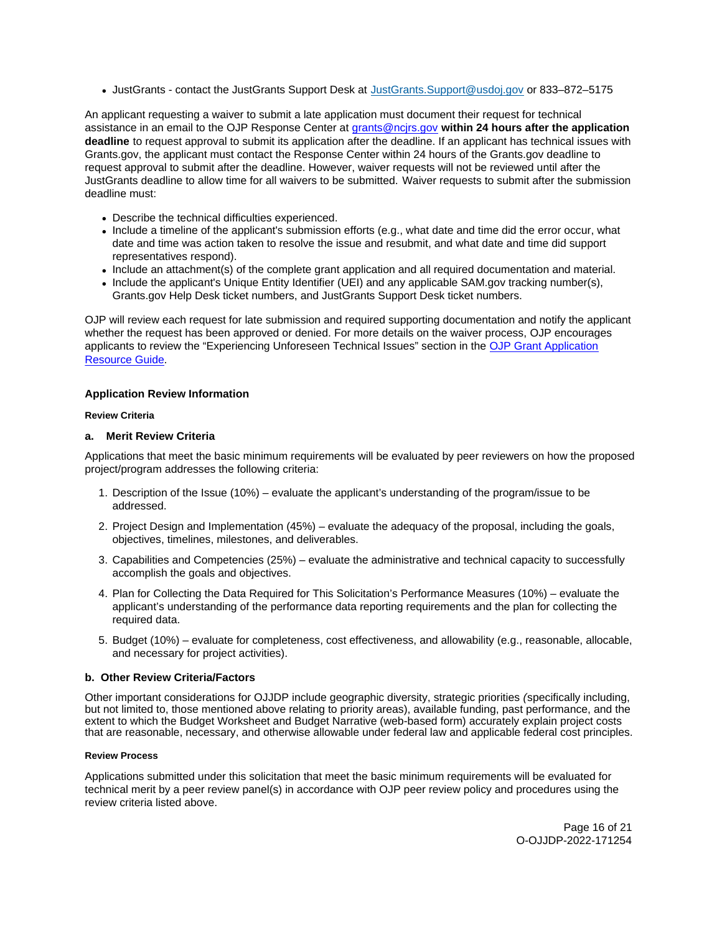<span id="page-15-0"></span>JustGrants - contact the JustGrants Support Desk at [JustGrants.Support@usdoj.gov](mailto:JustGrants.Support@usdoj.gov) or 833–872–5175

An applicant requesting a waiver to submit a late application must document their request for technical assistance in an email to the OJP Response Center at [grants@ncjrs.gov](file:///C:/Users/local_Yehj/INetCache/Content.Outlook/20U4XBR7/grants@ncjrs.gov) **within 24 hours after the application deadline** to request approval to submit its application after the deadline. If an applicant has technical issues with [Grants.gov,](https://Grants.gov) the applicant must contact the Response Center within 24 hours of the [Grants.gov](https://Grants.gov) deadline to request approval to submit after the deadline. However, waiver requests will not be reviewed until after the JustGrants deadline to allow time for all waivers to be submitted. Waiver requests to submit after the submission deadline must:

- Describe the technical difficulties experienced.
- Include a timeline of the applicant's submission efforts (e.g., what date and time did the error occur, what date and time was action taken to resolve the issue and resubmit, and what date and time did support representatives respond).
- Include an attachment(s) of the complete grant application and all required documentation and material.
- Include the applicant's Unique Entity Identifier (UEI) and any applicable SAM.gov tracking number(s), [Grants.gov](https://Grants.gov) Help Desk ticket numbers, and JustGrants Support Desk ticket numbers.

OJP will review each request for late submission and required supporting documentation and notify the applicant whether the request has been approved or denied. For more details on the waiver process, OJP encourages applicants to review the "Experiencing Unforeseen Technical Issues" section in the [OJP Grant Application](https://www.ojp.gov/funding/apply/ojp-grant-application-resource-guide#experiencing-unforeseen-technical-issues)  [Resource Guide](https://www.ojp.gov/funding/apply/ojp-grant-application-resource-guide#experiencing-unforeseen-technical-issues).

## **Application Review Information**

## **Review Criteria**

## **a. Merit Review Criteria**

Applications that meet the basic minimum requirements will be evaluated by peer reviewers on how the proposed project/program addresses the following criteria:

- 1. Description of the Issue (10%) evaluate the applicant's understanding of the program/issue to be addressed.
- 2. Project Design and Implementation (45%) evaluate the adequacy of the proposal, including the goals, objectives, timelines, milestones, and deliverables.
- 3. Capabilities and Competencies (25%) evaluate the administrative and technical capacity to successfully accomplish the goals and objectives.
- 4. Plan for Collecting the Data Required for This Solicitation's Performance Measures (10%) evaluate the applicant's understanding of the performance data reporting requirements and the plan for collecting the required data.
- 5. Budget (10%) evaluate for completeness, cost effectiveness, and allowability (e.g., reasonable, allocable, and necessary for project activities).

## **b. Other Review Criteria/Factors**

Other important considerations for OJJDP include geographic diversity, strategic priorities (specifically including, but not limited to, those mentioned above relating to priority areas), available funding, past performance, and the extent to which the Budget Worksheet and Budget Narrative (web-based form) accurately explain project costs that are reasonable, necessary, and otherwise allowable under federal law and applicable federal cost principles.

## **Review Process**

Applications submitted under this solicitation that meet the basic minimum requirements will be evaluated for technical merit by a peer review panel(s) in accordance with OJP peer review policy and procedures using the review criteria listed above.

> Page 16 of 21 O-OJJDP-2022-171254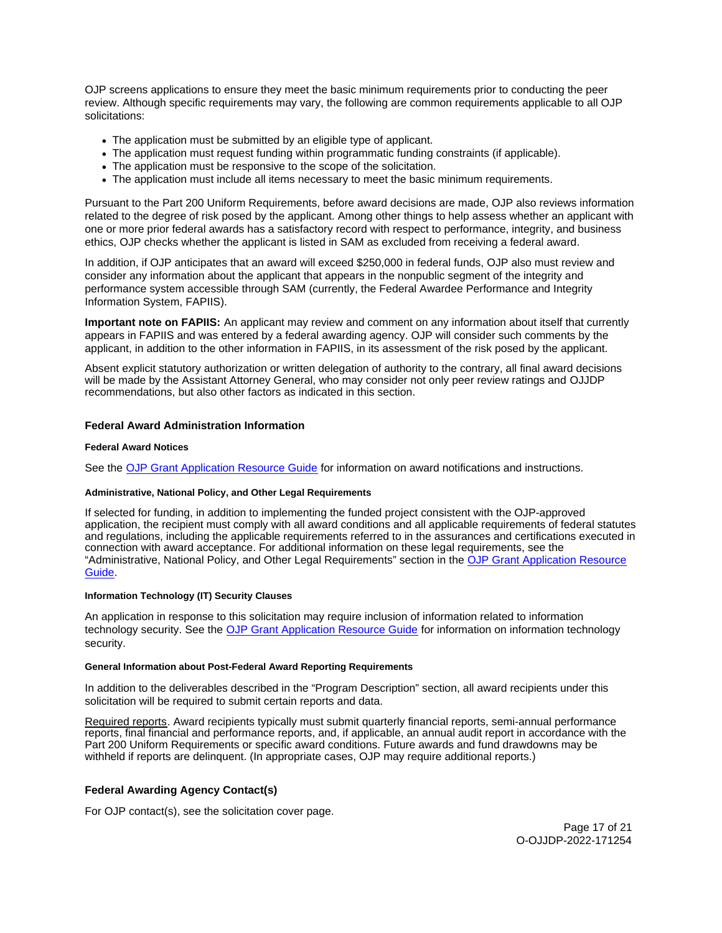<span id="page-16-0"></span>OJP screens applications to ensure they meet the basic minimum requirements prior to conducting the peer review. Although specific requirements may vary, the following are common requirements applicable to all OJP solicitations:

- The application must be submitted by an eligible type of applicant.
- The application must request funding within programmatic funding constraints (if applicable).
- The application must be responsive to the scope of the solicitation.
- The application must include all items necessary to meet the basic minimum requirements.

Pursuant to the Part 200 Uniform Requirements, before award decisions are made, OJP also reviews information related to the degree of risk posed by the applicant. Among other things to help assess whether an applicant with one or more prior federal awards has a satisfactory record with respect to performance, integrity, and business ethics, OJP checks whether the applicant is listed in SAM as excluded from receiving a federal award.

In addition, if OJP anticipates that an award will exceed \$250,000 in federal funds, OJP also must review and consider any information about the applicant that appears in the nonpublic segment of the integrity and performance system accessible through SAM (currently, the Federal Awardee Performance and Integrity Information System, FAPIIS).

**Important note on FAPIIS:** An applicant may review and comment on any information about itself that currently appears in FAPIIS and was entered by a federal awarding agency. OJP will consider such comments by the applicant, in addition to the other information in FAPIIS, in its assessment of the risk posed by the applicant.

Absent explicit statutory authorization or written delegation of authority to the contrary, all final award decisions will be made by the Assistant Attorney General, who may consider not only peer review ratings and OJJDP recommendations, but also other factors as indicated in this section.

## **Federal Award Administration Information**

#### **Federal Award Notices**

See the [OJP Grant Application Resource Guide](https://www.ojp.gov/funding/apply/ojp-grant-application-resource-guide#federal-award-notices) for information on award notifications and instructions.

## **Administrative, National Policy, and Other Legal Requirements**

If selected for funding, in addition to implementing the funded project consistent with the OJP-approved application, the recipient must comply with all award conditions and all applicable requirements of federal statutes and regulations, including the applicable requirements referred to in the assurances and certifications executed in connection with award acceptance. For additional information on these legal requirements, see the "Administrative, National Policy, and Other Legal Requirements" section in the [OJP Grant Application Resource](https://www.ojp.gov/funding/apply/ojp-grant-application-resource-guide#administrative)  [Guide.](https://www.ojp.gov/funding/apply/ojp-grant-application-resource-guide#administrative)

## **Information Technology (IT) Security Clauses**

An application in response to this solicitation may require inclusion of information related to information technology security. See the [OJP Grant Application Resource Guide](https://www.ojp.gov/funding/apply/ojp-grant-application-resource-guide#information-technology) for information on information technology security.

#### **General Information about Post-Federal Award Reporting Requirements**

In addition to the deliverables described in the "Program Description" section, all award recipients under this solicitation will be required to submit certain reports and data.

Required reports. Award recipients typically must submit quarterly financial reports, semi-annual performance reports, final financial and performance reports, and, if applicable, an annual audit report in accordance with the Part 200 Uniform Requirements or specific award conditions. Future awards and fund drawdowns may be withheld if reports are delinquent. (In appropriate cases, OJP may require additional reports.)

## **Federal Awarding Agency Contact(s)**

For OJP contact(s), see the solicitation cover page.

Page 17 of 21 O-OJJDP-2022-171254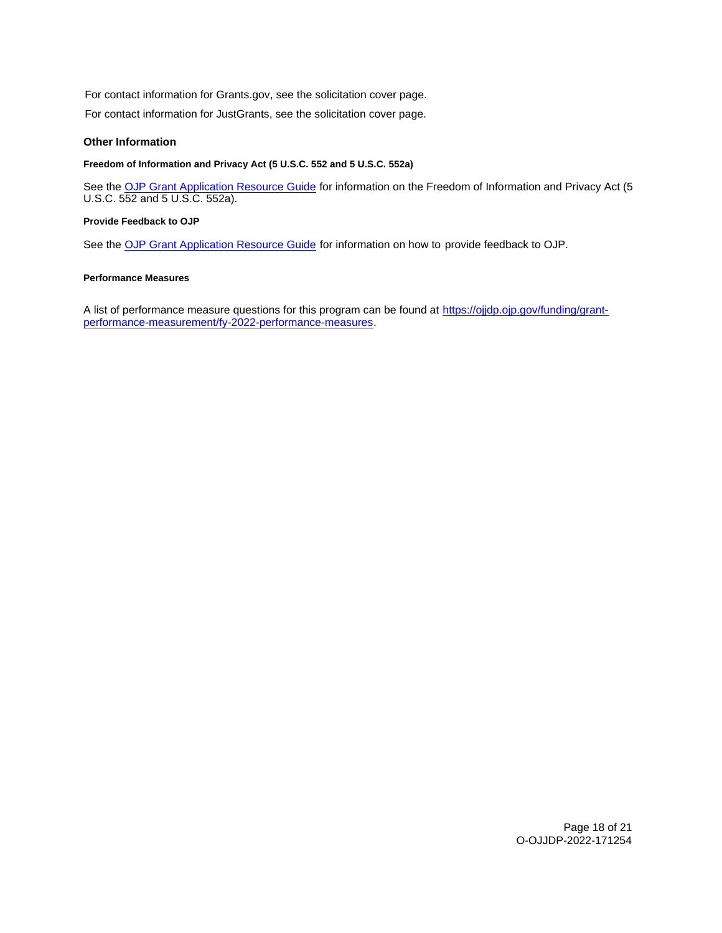<span id="page-17-0"></span>For contact information for [Grants.gov](https://Grants.gov), see the solicitation cover page.

For contact information for JustGrants, see the solicitation cover page.

## **Other Information**

## **Freedom of Information and Privacy Act (5 U.S.C. 552 and 5 U.S.C. 552a)**

See the [OJP Grant Application Resource Guide](https://www.ojp.gov/funding/apply/ojp-grant-application-resource-guide#foia) for information on the Freedom of Information and Privacy Act (5 U.S.C. 552 and 5 U.S.C. 552a).

#### **Provide Feedback to OJP**

See the [OJP Grant Application Resource Guide](https://www.ojp.gov/funding/apply/ojp-grant-application-resource-guide#feedback) for information on how to provide feedback to OJP.

## **Performance Measures**

A list of performance measure questions for this program can be found at <https://ojjdp.ojp.gov/funding/grant>[performance-measurement/fy-2022-performance-measures.](https://ojjdp.ojp.gov/funding/grant-performance-measurement/fy-2021-performance-measures)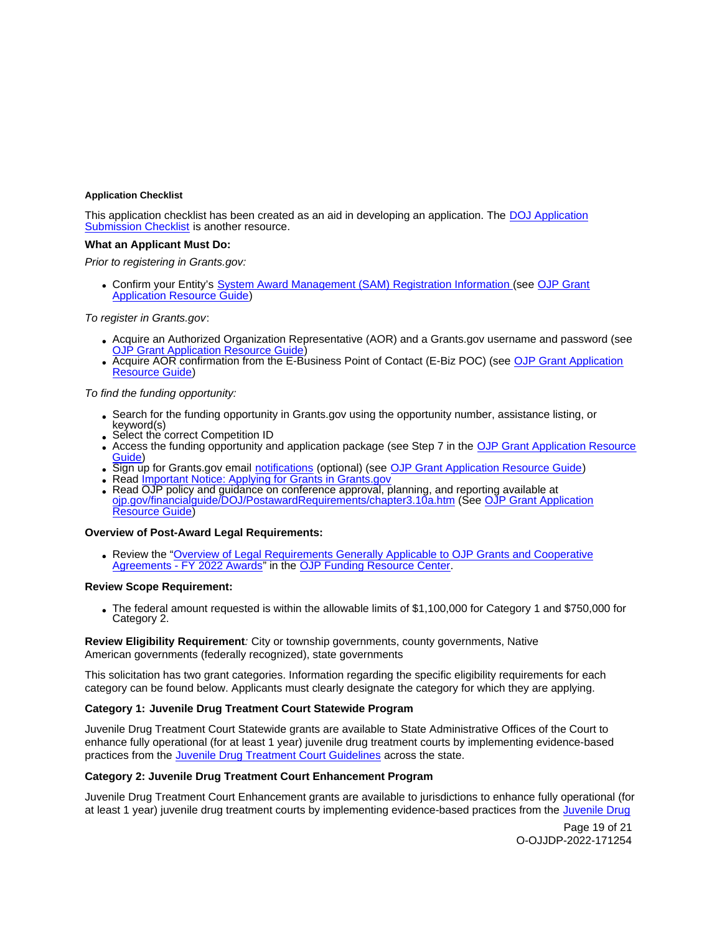#### <span id="page-18-0"></span>**Application Checklist**

This application checklist has been created as an aid in developing an application. The [DOJ Application](https://justicegrants.usdoj.gov/sites/g/files/xyckuh296/files/media/document/appln-submission-checklist.pdf)  [Submission Checklist](https://justicegrants.usdoj.gov/sites/g/files/xyckuh296/files/media/document/appln-submission-checklist.pdf) is another resource.

#### **What an Applicant Must Do:**

Prior to registering in [Grants.gov](https://Grants.gov):

Confirm your Entity's [System Award Management \(SAM\)](https://sam.gov/SAM/) Registration Information (see [OJP Grant](https://www.ojp.gov/funding/apply/ojp-grant-application-resource-guide#apply)  [Application Resource Guide\)](https://www.ojp.gov/funding/apply/ojp-grant-application-resource-guide#apply)

#### To register in [Grants.gov](https://Grants.gov):

- Acquire an Authorized Organization Representative (AOR) and a [Grants.gov](https://Grants.gov) username and password (see **[OJP Grant Application Resource Guide\)](https://www.ojp.gov/funding/apply/ojp-grant-application-resource-guide#apply)**
- Acquire AOR confirmation from the E-Business Point of Contact (E-Biz POC) (see OJP Grant Application [Resource Guide\)](https://www.ojp.gov/funding/apply/ojp-grant-application-resource-guide#apply)

#### To find the funding opportunity:

- Search for the funding opportunity in [Grants.gov](https://Grants.gov) using the opportunity number, assistance listing, or keyword(s)
- Select the correct Competition ID
- Access the funding opportunity and application package (see Step 7 in the [OJP Grant Application Resource](https://www.ojp.gov/funding/apply/ojp-grant-application-resource-guide#apply)  [Guide\)](https://www.ojp.gov/funding/apply/ojp-grant-application-resource-guide#apply)
- Sign up for [Grants.gov](https://Grants.gov) email [notifications](https://www.grants.gov/web/grants/manage-subscriptions.html) (optional) (see [OJP Grant Application Resource Guide\)](https://www.ojp.gov/funding/apply/ojp-grant-application-resource-guide#apply)
- Read *Important Notice: Applying for Grants in Grants.gov*
- Read OJP policy and guidance on conference approval, planning, and reporting available at [ojp.gov/financialguide/DOJ/PostawardRequirements/chapter3.10a.htm](https://www.ojp.gov/funding/financialguidedoj/iii-postaward-requirements#6g3y8) (See [OJP Grant Application](https://www.ojp.gov/funding/apply/ojp-grant-application-resource-guide#apply)  [Resource Guide\)](https://www.ojp.gov/funding/apply/ojp-grant-application-resource-guide#apply)

#### **Overview of Post-Award Legal Requirements:**

Review the ["Overview of Legal Requirements Generally Applicable to OJP Grants and Cooperative](https://www.ojp.gov/funding/explore/legal-overview-awards)  [Agreements - FY 2022 Awards"](https://www.ojp.gov/funding/explore/legal-overview-awards) in the [OJP Funding Resource Center.](https://www.ojp.gov/funding/explore/legal-overview-awards)

#### **Review Scope Requirement:**

The federal amount requested is within the allowable limits of \$1,100,000 for Category 1 and \$750,000 for Category 2.

## **Review Eligibility Requirement**: City or township governments, county governments, Native American governments (federally recognized), state governments

This solicitation has two grant categories. Information regarding the specific eligibility requirements for each category can be found below. Applicants must clearly designate the category for which they are applying.

## **Category 1: Juvenile Drug Treatment Court Statewide Program**

Juvenile Drug Treatment Court Statewide grants are available to State Administrative Offices of the Court to enhance fully operational (for at least 1 year) juvenile drug treatment courts by implementing evidence-based practices from the [Juvenile Drug Treatment Court Guidelines](https://ojjdp.ojp.gov/sites/g/files/xyckuh176/files/pubs/250368.pdf) across the state.

## **Category 2: Juvenile Drug Treatment Court Enhancement Program**

Juvenile Drug Treatment Court Enhancement grants are available to jurisdictions to enhance fully operational (for at least 1 year) juvenile drug treatment courts by implementing evidence-based practices from the Juvenile Drug

> Page 19 of 21 O-OJJDP-2022-171254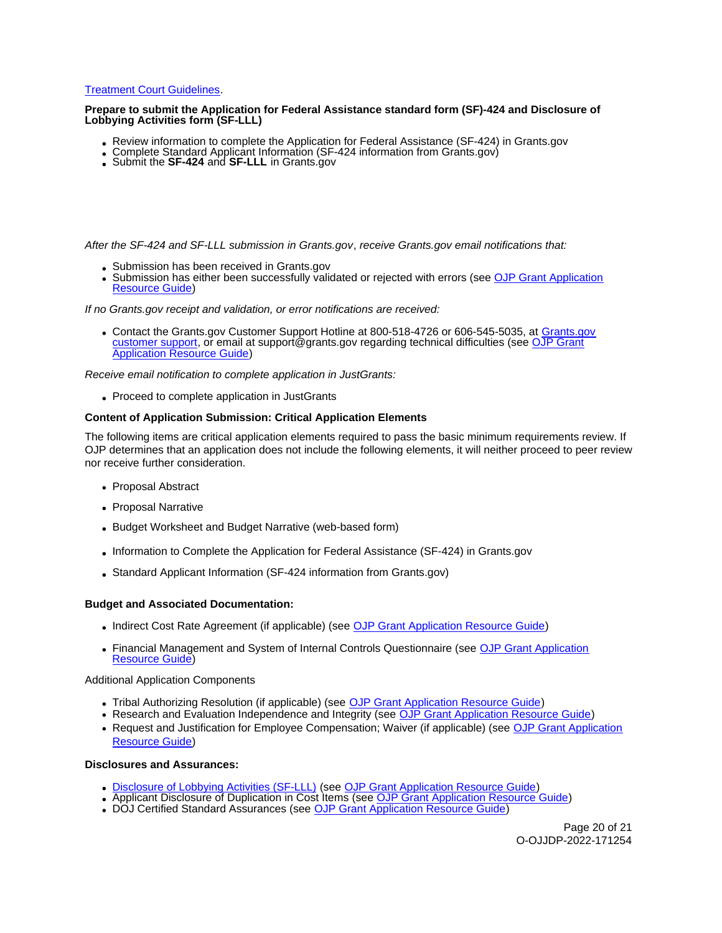## [Treatment Court Guidelines.](https://ojjdp.ojp.gov/sites/g/files/xyckuh176/files/pubs/250368.pdf)

## **Prepare to submit the Application for Federal Assistance standard form (SF)-424 and Disclosure of Lobbying Activities form (SF-LLL)**

- Review information to complete the Application for Federal Assistance (SF-424) in [Grants.gov](https://Grants.gov)<br>• Complete Standard Applicant Information (SF-424 information from Grants.gov)<br>• Submit the SF-424 and SF-LLL in Grants.gov
- 
- 

After the SF-424 and SF-LLL submission in [Grants.gov](https://Grants.gov), receive [Grants.gov](https://Grants.gov) email notifications that:

- Submission has been received in [Grants.gov](https://Grants.gov)
- Submission has either been successfully validated or rejected with errors (see OJP Grant Application [Resource Guide\)](https://www.ojp.gov/funding/apply/ojp-grant-application-resource-guide#apply)

If no [Grants.gov](https://Grants.gov) receipt and validation, or error notifications are received:

• Contact the [Grants.gov](https://Grants.gov) Customer Support Hotline at 800-518-4726 or 606-545-5035, at Grants.gov [customer support,](https://www.grants.gov/web/grants/support.html) or email at [support@grants.gov](mailto:support@grants.gov) regarding technical difficulties (see [OJP Grant](https://www.ojp.gov/funding/apply/ojp-grant-application-resource-guide#apply)  [Application Resource Guide\)](https://www.ojp.gov/funding/apply/ojp-grant-application-resource-guide#apply)

Receive email notification to complete application in JustGrants:

Proceed to complete application in JustGrants

## **Content of Application Submission: Critical Application Elements**

The following items are critical application elements required to pass the basic minimum requirements review. If OJP determines that an application does not include the following elements, it will neither proceed to peer review nor receive further consideration.

- Proposal Abstract
- Proposal Narrative
- Budget Worksheet and Budget Narrative (web-based form)
- Information to Complete the Application for Federal Assistance (SF-424) in [Grants.gov](https://Grants.gov)
- Standard Applicant Information (SF-424 information from [Grants.gov\)](https://Grants.gov)

#### **Budget and Associated Documentation:**

- Indirect Cost Rate Agreement (if applicable) (see [OJP Grant Application Resource Guide\)](https://ojp.gov/funding/Apply/Resources/Grant-App-Resource-Guide.htm)
- Financial Management and System of Internal Controls Questionnaire (see OJP Grant Application [Resource Guide\)](https://ojp.gov/funding/Apply/Resources/Grant-App-Resource-Guide.htm)

Additional Application Components

- Tribal Authorizing Resolution (if applicable) (see [OJP Grant Application Resource Guide\)](https://ojp.gov/funding/Apply/Resources/Grant-App-Resource-Guide.htm)
- Research and Evaluation Independence and Integrity (see [OJP Grant Application Resource Guide\)](https://ojp.gov/funding/Apply/Resources/Grant-App-Resource-Guide.htm)
- Request and Justification for Employee Compensation: Waiver (if applicable) (see OJP Grant Application [Resource Guide\)](https://ojp.gov/funding/Apply/Resources/Grant-App-Resource-Guide.htm)

#### **Disclosures and Assurances:**

- [Disclosure of Lobbying Activities \(SF-LLL\)](https://ojp.gov/funding/Apply/Resources/Disclosure.pdf) (see [OJP Grant Application Resource Guide\)](https://ojp.gov/funding/Apply/Resources/Grant-App-Resource-Guide.htm)
- Applicant Disclosure of Duplication in Cost Items (see [OJP Grant Application Resource Guide\)](https://ojp.gov/funding/Apply/Resources/Grant-App-Resource-Guide.htm)
- . DOJ Certified Standard Assurances (see [OJP Grant Application Resource Guide\)](https://ojp.gov/funding/Apply/Resources/Grant-App-Resource-Guide.htm)

Page 20 of 21 O-OJJDP-2022-171254